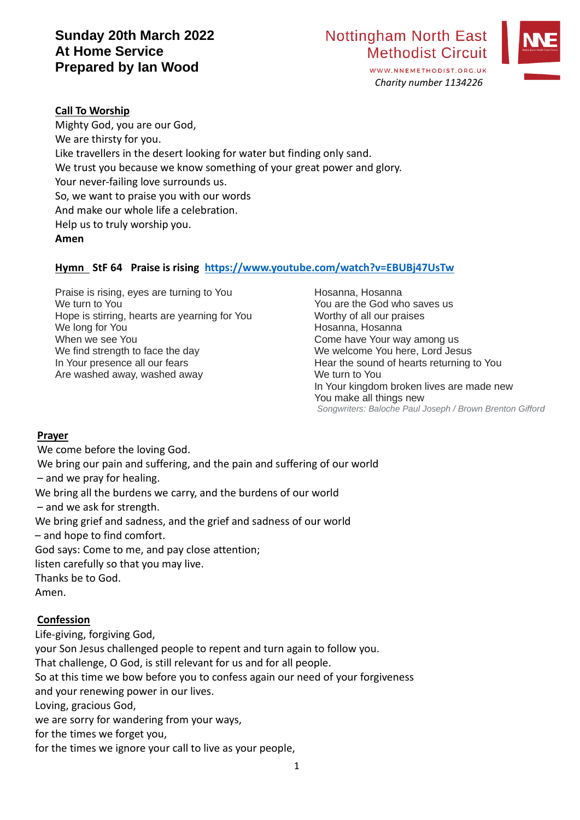# **Sunday 20th March 2022 At Home Service Prepared by Ian Wood**

# **Nottingham North East Methodist Circuit**



WWW.NNEMETHODIST.ORG.UK *Charity number 1134226*

# **Call To Worship**

Mighty God, you are our God, We are thirsty for you. Like travellers in the desert looking for water but finding only sand. We trust you because we know something of your great power and glory. Your never-failing love surrounds us. So, we want to praise you with our words And make our whole life a celebration. Help us to truly worship you. **Amen**

### **Hymn StF 64 Praise is rising <https://www.youtube.com/watch?v=EBUBj47UsTw>**

Praise is rising, eyes are turning to You We turn to You Hope is stirring, hearts are yearning for You We long for You When we see You We find strength to face the day In Your presence all our fears Are washed away, washed away

Hosanna, Hosanna You are the God who saves us Worthy of all our praises Hosanna, Hosanna Come have Your way among us We welcome You here, Lord Jesus Hear the sound of hearts returning to You We turn to You In Your kingdom broken lives are made new You make all things new *Songwriters: Baloche Paul Joseph / Brown Brenton Gifford*

### **Prayer**

We come before the loving God. We bring our pain and suffering, and the pain and suffering of our world – and we pray for healing. We bring all the burdens we carry, and the burdens of our world – and we ask for strength. We bring grief and sadness, and the grief and sadness of our world – and hope to find comfort. God says: Come to me, and pay close attention; listen carefully so that you may live. Thanks be to God. Amen.

## **[Confession](javascript:void(0))**

Life-giving, forgiving God, your Son Jesus challenged people to repent and turn again to follow you. That challenge, O God, is still relevant for us and for all people. So at this time we bow before you to confess again our need of your forgiveness and your renewing power in our lives. Loving, gracious God, we are sorry for wandering from your ways, for the times we forget you, for the times we ignore your call to live as your people,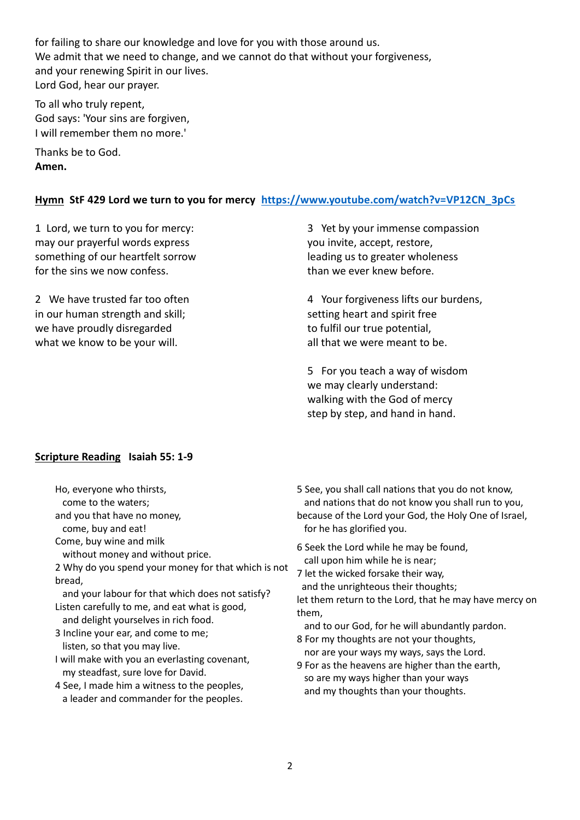for failing to share our knowledge and love for you with those around us. We admit that we need to change, and we cannot do that without your forgiveness, and your renewing Spirit in our lives. Lord God, hear our prayer.

To all who truly repent, God says: 'Your sins are forgiven, I will remember them no more.'

Thanks be to God. **Amen.**

### **Hymn StF 429 Lord we turn to you for mercy [https://www.youtube.com/watch?v=VP12CN\\_3pCs](https://www.youtube.com/watch?v=VP12CN_3pCs)**

1 Lord, we turn to you for mercy: may our prayerful words express something of our heartfelt sorrow for the sins we now confess.

2 We have trusted far too often in our human strength and skill; we have proudly disregarded what we know to be your will.

3 Yet by your immense compassion you invite, accept, restore, leading us to greater wholeness than we ever knew before.

4 Your forgiveness lifts our burdens, setting heart and spirit free to fulfil our true potential, all that we were meant to be.

5 For you teach a way of wisdom we may clearly understand: walking with the God of mercy step by step, and hand in hand.

### **Scripture Reading Isaiah 55: 1-9**

- Ho, everyone who thirsts, come to the waters; and you that have no money, come, buy and eat! Come, buy wine and milk without money and without price. 2 Why do you spend your money for that which is not bread, and your labour for that which does not satisfy? Listen carefully to me, and eat what is good, and delight yourselves in rich food. 3 Incline your ear, and come to me; listen, so that you may live. I will make with you an everlasting covenant, my steadfast, sure love for David. 4 See, I made him a witness to the peoples, a leader and commander for the peoples.
	- 5 See, you shall call nations that you do not know, and nations that do not know you shall run to you, because of the Lord your God, the Holy One of Israel, for he has glorified you.
	- 6 Seek the Lord while he may be found, call upon him while he is near;

7 let the wicked forsake their way,

and the unrighteous their thoughts;

let them return to the Lord, that he may have mercy on them,

- and to our God, for he will abundantly pardon.
- 8 For my thoughts are not your thoughts, nor are your ways my ways, says the Lord.
- 9 For as the heavens are higher than the earth, so are my ways higher than your ways and my thoughts than your thoughts.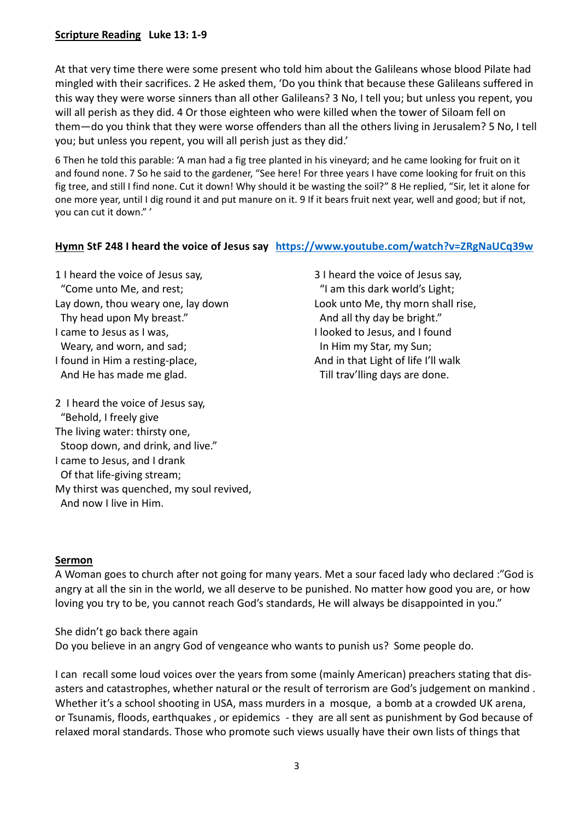At that very time there were some present who told him about the Galileans whose blood Pilate had mingled with their sacrifices. 2 He asked them, 'Do you think that because these Galileans suffered in this way they were worse sinners than all other Galileans? 3 No, I tell you; but unless you repent, you will all perish as they did. 4 Or those eighteen who were killed when the tower of Siloam fell on them—do you think that they were worse offenders than all the others living in Jerusalem? 5 No, I tell you; but unless you repent, you will all perish just as they did.'

6 Then he told this parable: 'A man had a fig tree planted in his vineyard; and he came looking for fruit on it and found none. 7 So he said to the gardener, "See here! For three years I have come looking for fruit on this fig tree, and still I find none. Cut it down! Why should it be wasting the soil?" 8 He replied, "Sir, let it alone for one more year, until I dig round it and put manure on it. 9 If it bears fruit next year, well and good; but if not, you can cut it down." '

### **Hymn StF 248 I heard the voice of Jesus say <https://www.youtube.com/watch?v=ZRgNaUCq39w>**

1 I heard the voice of Jesus say, "Come unto Me, and rest; Lay down, thou weary one, lay down Thy head upon My breast." I came to Jesus as I was, Weary, and worn, and sad; I found in Him a resting-place, And He has made me glad.

3 I heard the voice of Jesus say, "I am this dark world's Light; Look unto Me, thy morn shall rise, And all thy day be bright." I looked to Jesus, and I found In Him my Star, my Sun; And in that Light of life I'll walk Till trav'lling days are done.

2 I heard the voice of Jesus say, "Behold, I freely give The living water: thirsty one, Stoop down, and drink, and live." I came to Jesus, and I drank Of that life-giving stream; My thirst was quenched, my soul revived, And now I live in Him.

#### **Sermon**

A Woman goes to church after not going for many years. Met a sour faced lady who declared :"God is angry at all the sin in the world, we all deserve to be punished. No matter how good you are, or how loving you try to be, you cannot reach God's standards, He will always be disappointed in you."

She didn't go back there again Do you believe in an angry God of vengeance who wants to punish us? Some people do.

I can recall some loud voices over the years from some (mainly American) preachers stating that disasters and catastrophes, whether natural or the result of terrorism are God's judgement on mankind . Whether it's a school shooting in USA, mass murders in a mosque, a bomb at a crowded UK arena, or Tsunamis, floods, earthquakes , or epidemics - they are all sent as punishment by God because of relaxed moral standards. Those who promote such views usually have their own lists of things that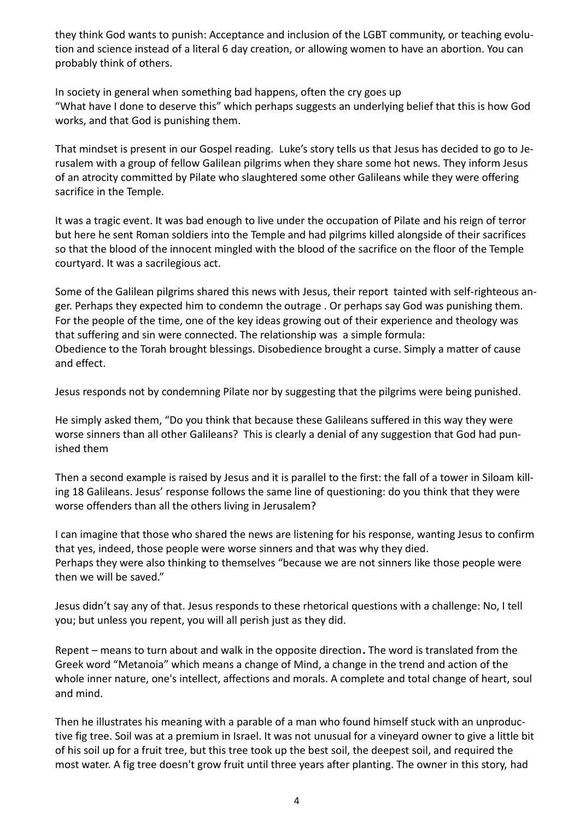they think God wants to punish: Acceptance and inclusion of the LGBT community, or teaching evolution and science instead of a literal 6 day creation, or allowing women to have an abortion. You can probably think of others.

In society in general when something bad happens, often the cry goes up "What have I done to deserve this" which perhaps suggests an underlying belief that this is how God works, and that God is punishing them.

That mindset is present in our Gospel reading. Luke's story tells us that Jesus has decided to go to Jerusalem with a group of fellow Galilean pilgrims when they share some hot news. They inform Jesus of an atrocity committed by Pilate who slaughtered some other Galileans while they were offering sacrifice in the Temple.

It was a tragic event. It was bad enough to live under the occupation of Pilate and his reign of terror but here he sent Roman soldiers into the Temple and had pilgrims killed alongside of their sacrifices so that the blood of the innocent mingled with the blood of the sacrifice on the floor of the Temple courtyard. It was a sacrilegious act.

Some of the Galilean pilgrims shared this news with Jesus, their report tainted with self-righteous anger. Perhaps they expected him to condemn the outrage . Or perhaps say God was punishing them. For the people of the time, one of the key ideas growing out of their experience and theology was that suffering and sin were connected. The relationship was a simple formula: Obedience to the Torah brought blessings. Disobedience brought a curse. Simply a matter of cause and effect.

Jesus responds not by condemning Pilate nor by suggesting that the pilgrims were being punished.

He simply asked them, "Do you think that because these Galileans suffered in this way they were worse sinners than all other Galileans? This is clearly a denial of any suggestion that God had punished them

Then a second example is raised by Jesus and it is parallel to the first: the fall of a tower in Siloam killing 18 Galileans. Jesus' response follows the same line of questioning: do you think that they were worse offenders than all the others living in Jerusalem?

I can imagine that those who shared the news are listening for his response, wanting Jesus to confirm that yes, indeed, those people were worse sinners and that was why they died. Perhaps they were also thinking to themselves "because we are not sinners like those people were then we will be saved."

Jesus didn't say any of that. Jesus responds to these rhetorical questions with a challenge: No, I tell you; but unless you repent, you will all perish just as they did.

Repent – means to turn about and walk in the opposite direction. The word is translated from the Greek word "Metanoia" which means a change of Mind, a change in the trend and action of the whole inner nature, one's intellect, affections and morals. A complete and total change of heart, soul and mind.

Then he illustrates his meaning with a parable of a man who found himself stuck with an unproductive fig tree. Soil was at a premium in Israel. It was not unusual for a vineyard owner to give a little bit of his soil up for a fruit tree, but this tree took up the best soil, the deepest soil, and required the most water. A fig tree doesn't grow fruit until three years after planting. The owner in this story, had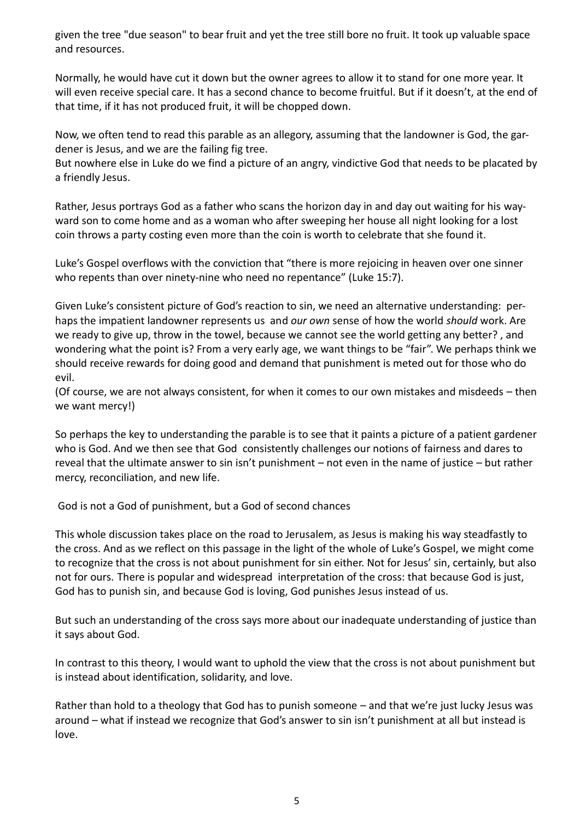given the tree "due season" to bear fruit and yet the tree still bore no fruit. It took up valuable space and resources.

Normally, he would have cut it down but the owner agrees to allow it to stand for one more year. It will even receive special care. It has a second chance to become fruitful. But if it doesn't, at the end of that time, if it has not produced fruit, it will be chopped down.

Now, we often tend to read this parable as an allegory, assuming that the landowner is God, the gardener is Jesus, and we are the failing fig tree.

But nowhere else in Luke do we find a picture of an angry, vindictive God that needs to be placated by a friendly Jesus.

Rather, Jesus portrays God as a father who scans the horizon day in and day out waiting for his wayward son to come home and as a woman who after sweeping her house all night looking for a lost coin throws a party costing even more than the coin is worth to celebrate that she found it.

Luke's Gospel overflows with the conviction that "there is more rejoicing in heaven over one sinner who repents than over ninety-nine who need no repentance" (Luke 15:7).

Given Luke's consistent picture of God's reaction to sin, we need an alternative understanding: perhaps the impatient landowner represents us and *our own* sense of how the world *should* work. Are we ready to give up, throw in the towel, because we cannot see the world getting any better? , and wondering what the point is? From a very early age, we want things to be "fair". We perhaps think we should receive rewards for doing good and demand that punishment is meted out for those who do evil.

(Of course, we are not always consistent, for when it comes to our own mistakes and misdeeds – then we want mercy!)

So perhaps the key to understanding the parable is to see that it paints a picture of a patient gardener who is God. And we then see that God consistently challenges our notions of fairness and dares to reveal that the ultimate answer to sin isn't punishment – not even in the name of justice – but rather mercy, reconciliation, and new life.

God is not a God of punishment, but a God of second chances

This whole discussion takes place on the road to Jerusalem, as Jesus is making his way steadfastly to the cross. And as we reflect on this passage in the light of the whole of Luke's Gospel, we might come to recognize that the cross is not about punishment for sin either. Not for Jesus' sin, certainly, but also not for ours. There is popular and widespread interpretation of the cross: that because God is just, God has to punish sin, and because God is loving, God punishes Jesus instead of us.

But such an understanding of the cross says more about our inadequate understanding of justice than it says about God.

In contrast to this theory, I would want to uphold the view that the cross is not about punishment but is instead about identification, solidarity, and love.

Rather than hold to a theology that God has to punish someone – and that we're just lucky Jesus was around – what if instead we recognize that God's answer to sin isn't punishment at all but instead is love.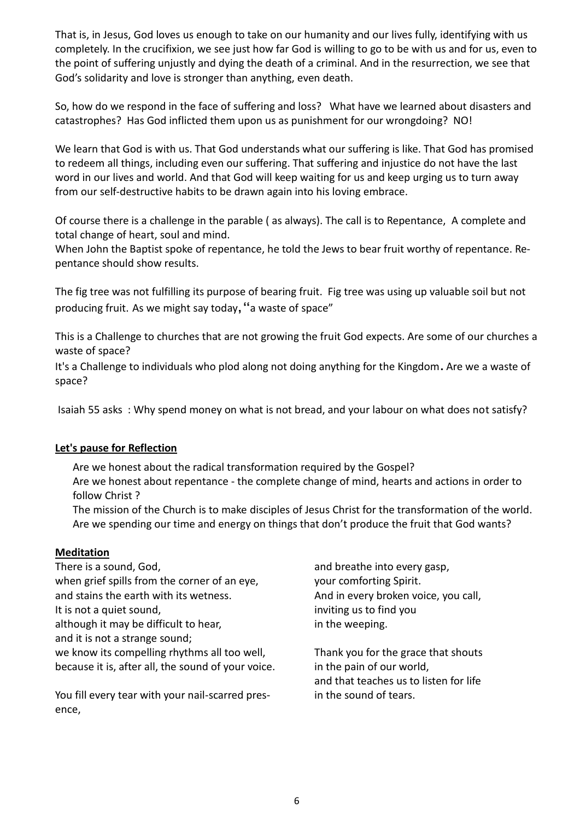That is, in Jesus, God loves us enough to take on our humanity and our lives fully, identifying with us completely. In the crucifixion, we see just how far God is willing to go to be with us and for us, even to the point of suffering unjustly and dying the death of a criminal. And in the resurrection, we see that God's solidarity and love is stronger than anything, even death.

So, how do we respond in the face of suffering and loss? What have we learned about disasters and catastrophes? Has God inflicted them upon us as punishment for our wrongdoing? NO!

We learn that God is with us. That God understands what our suffering is like. That God has promised to redeem all things, including even our suffering. That suffering and injustice do not have the last word in our lives and world. And that God will keep waiting for us and keep urging us to turn away from our self-destructive habits to be drawn again into his loving embrace.

Of course there is a challenge in the parable ( as always). The call is to Repentance, A complete and total change of heart, soul and mind.

When John the Baptist spoke of repentance, he told the Jews to bear fruit worthy of repentance. Repentance should show results.

The fig tree was not fulfilling its purpose of bearing fruit. Fig tree was using up valuable soil but not producing fruit. As we might say today, "a waste of space"

This is a Challenge to churches that are not growing the fruit God expects. Are some of our churches a waste of space?

It's a Challenge to individuals who plod along not doing anything for the Kingdom. Are we a waste of space?

Isaiah 55 asks : Why spend money on what is not bread, and your labour on what does not satisfy?

#### **Let's pause for Reflection**

Are we honest about the radical transformation required by the Gospel? Are we honest about repentance - the complete change of mind, hearts and actions in order to follow Christ ?

The mission of the Church is to make disciples of Jesus Christ for the transformation of the world. Are we spending our time and energy on things that don't produce the fruit that God wants?

#### **Meditation**

There is a sound, God, when grief spills from the corner of an eye, and stains the earth with its wetness. It is not a quiet sound, although it may be difficult to hear, and it is not a strange sound; we know its compelling rhythms all too well, because it is, after all, the sound of your voice.

You fill every tear with your nail-scarred presence,

and breathe into every gasp, your comforting Spirit. And in every broken voice, you call, inviting us to find you in the weeping.

Thank you for the grace that shouts in the pain of our world, and that teaches us to listen for life in the sound of tears.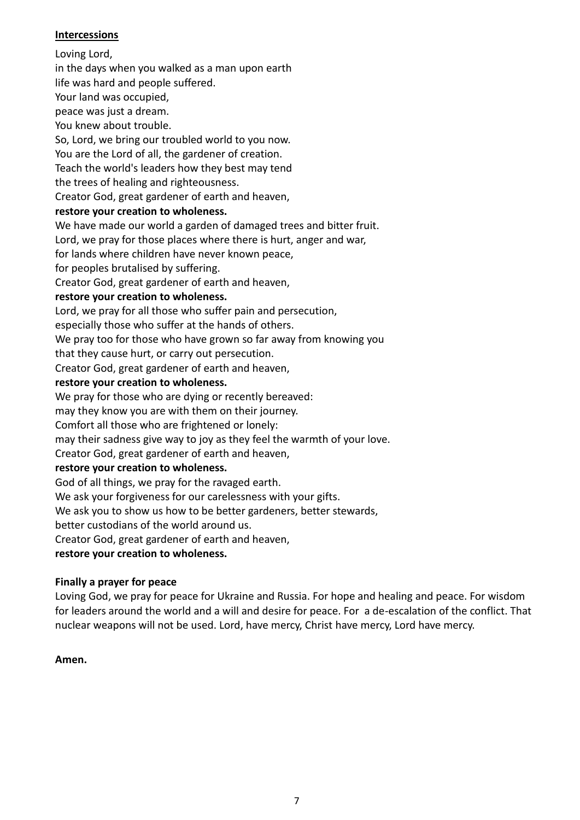#### **[Intercessions](javascript:void(0))**

Loving Lord, in the days when you walked as a man upon earth

life was hard and people suffered.

Your land was occupied,

peace was just a dream.

You knew about trouble.

So, Lord, we bring our troubled world to you now.

You are the Lord of all, the gardener of creation.

Teach the world's leaders how they best may tend

the trees of healing and righteousness.

Creator God, great gardener of earth and heaven,

# **restore your creation to wholeness.**

We have made our world a garden of damaged trees and bitter fruit.

Lord, we pray for those places where there is hurt, anger and war,

for lands where children have never known peace,

for peoples brutalised by suffering.

Creator God, great gardener of earth and heaven,

# **restore your creation to wholeness.**

Lord, we pray for all those who suffer pain and persecution,

especially those who suffer at the hands of others.

We pray too for those who have grown so far away from knowing you

that they cause hurt, or carry out persecution.

Creator God, great gardener of earth and heaven,

## **restore your creation to wholeness.**

We pray for those who are dying or recently bereaved:

may they know you are with them on their journey.

Comfort all those who are frightened or lonely:

may their sadness give way to joy as they feel the warmth of your love.

Creator God, great gardener of earth and heaven,

## **restore your creation to wholeness.**

God of all things, we pray for the ravaged earth.

We ask your forgiveness for our carelessness with your gifts.

We ask you to show us how to be better gardeners, better stewards,

better custodians of the world around us.

Creator God, great gardener of earth and heaven,

**restore your creation to wholeness.**

## **Finally a prayer for peace**

Loving God, we pray for peace for Ukraine and Russia. For hope and healing and peace. For wisdom for leaders around the world and a will and desire for peace. For a de-escalation of the conflict. That nuclear weapons will not be used. Lord, have mercy, Christ have mercy, Lord have mercy.

## **Amen.**